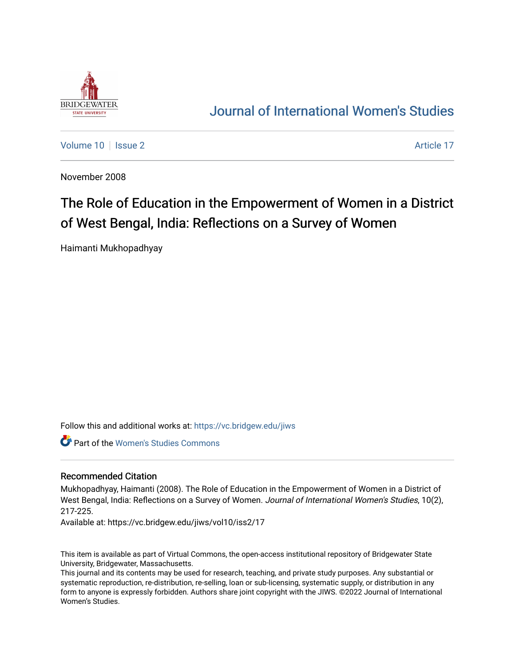

## [Journal of International Women's Studies](https://vc.bridgew.edu/jiws)

[Volume 10](https://vc.bridgew.edu/jiws/vol10) | [Issue 2](https://vc.bridgew.edu/jiws/vol10/iss2) Article 17

November 2008

# The Role of Education in the Empowerment of Women in a District of West Bengal, India: Reflections on a Survey of Women

Haimanti Mukhopadhyay

Follow this and additional works at: [https://vc.bridgew.edu/jiws](https://vc.bridgew.edu/jiws?utm_source=vc.bridgew.edu%2Fjiws%2Fvol10%2Fiss2%2F17&utm_medium=PDF&utm_campaign=PDFCoverPages)

Part of the [Women's Studies Commons](http://network.bepress.com/hgg/discipline/561?utm_source=vc.bridgew.edu%2Fjiws%2Fvol10%2Fiss2%2F17&utm_medium=PDF&utm_campaign=PDFCoverPages) 

#### Recommended Citation

Mukhopadhyay, Haimanti (2008). The Role of Education in the Empowerment of Women in a District of West Bengal, India: Reflections on a Survey of Women. Journal of International Women's Studies, 10(2), 217-225.

Available at: https://vc.bridgew.edu/jiws/vol10/iss2/17

This item is available as part of Virtual Commons, the open-access institutional repository of Bridgewater State University, Bridgewater, Massachusetts.

This journal and its contents may be used for research, teaching, and private study purposes. Any substantial or systematic reproduction, re-distribution, re-selling, loan or sub-licensing, systematic supply, or distribution in any form to anyone is expressly forbidden. Authors share joint copyright with the JIWS. ©2022 Journal of International Women's Studies.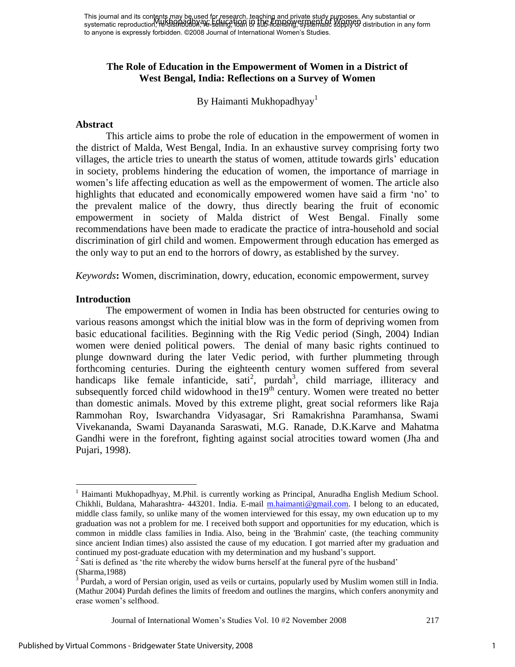## **The Role of Education in the Empowerment of Women in a District of West Bengal, India: Reflections on a Survey of Women**

By Haimanti Mukhopadhyay<sup>1</sup>

#### **Abstract**

This article aims to probe the role of education in the empowerment of women in the district of Malda, West Bengal, India. In an exhaustive survey comprising forty two villages, the article tries to unearth the status of women, attitude towards girls" education in society, problems hindering the education of women, the importance of marriage in women's life affecting education as well as the empowerment of women. The article also highlights that educated and economically empowered women have said a firm "no" to the prevalent malice of the dowry, thus directly bearing the fruit of economic empowerment in society of Malda district of West Bengal. Finally some recommendations have been made to eradicate the practice of intra-household and social discrimination of girl child and women. Empowerment through education has emerged as the only way to put an end to the horrors of dowry, as established by the survey.

*Keywords***:** Women, discrimination, dowry, education, economic empowerment, survey

## **Introduction**

The empowerment of women in India has been obstructed for centuries owing to various reasons amongst which the initial blow was in the form of depriving women from basic educational facilities. Beginning with the Rig Vedic period (Singh, 2004) Indian women were denied political powers. The denial of many basic rights continued to plunge downward during the later Vedic period, with further plummeting through forthcoming centuries. During the eighteenth century women suffered from several handicaps like female infanticide, sati<sup>2</sup>, purdah<sup>3</sup>, child marriage, illiteracy and subsequently forced child widowhood in the19<sup>th</sup> century. Women were treated no better than domestic animals. Moved by this extreme plight, great social reformers like Raja Rammohan Roy, Iswarchandra Vidyasagar, Sri Ramakrishna Paramhansa, Swami Vivekananda, Swami Dayananda Saraswati, M.G. Ranade, D.K.Karve and Mahatma Gandhi were in the forefront, fighting against social atrocities toward women (Jha and Pujari, 1998).

 $\overline{a}$ 

Journal of International Women"s Studies Vol. 10 #2 November 2008 217

<sup>1</sup> Haimanti Mukhopadhyay, M.Phil. is currently working as Principal, Anuradha English Medium School. Chikhli, Buldana, Maharashtra- 443201. India. E-mail [m.haimanti@gmail.com.](mailto:m.haimanti@gmail.com) I belong to an educated, middle class family, so unlike many of the women interviewed for this essay, my own education up to my graduation was not a problem for me. I received both support and opportunities for my education, which is common in middle class families in India. Also, being in the 'Brahmin' caste, (the teaching community since ancient Indian times) also assisted the cause of my education. I got married after my graduation and continued my post-graduate education with my determination and my husband"s support.

<sup>&</sup>lt;sup>2</sup> Sati is defined as 'the rite whereby the widow burns herself at the funeral pyre of the husband'

<sup>(</sup>Sharma,1988)

<sup>3</sup> Purdah, a word of Persian origin, used as veils or curtains, popularly used by Muslim women still in India. (Mathur 2004) Purdah defines the limits of freedom and outlines the margins, which confers anonymity and erase women"s selfhood.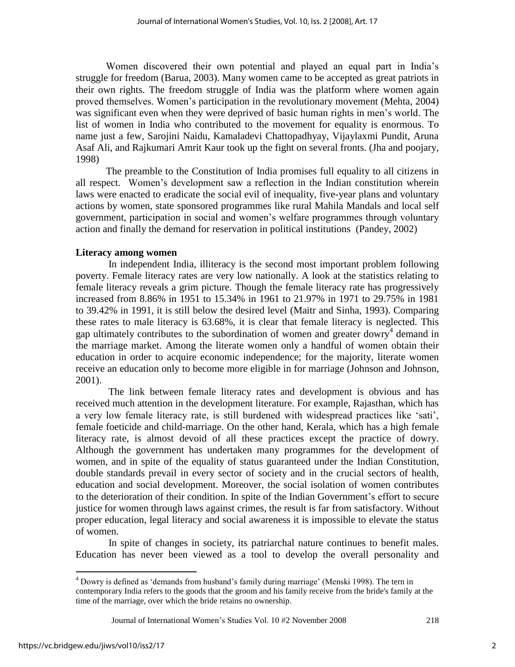Women discovered their own potential and played an equal part in India"s struggle for freedom (Barua, 2003). Many women came to be accepted as great patriots in their own rights. The freedom struggle of India was the platform where women again proved themselves. Women"s participation in the revolutionary movement (Mehta, 2004) was significant even when they were deprived of basic human rights in men"s world. The list of women in India who contributed to the movement for equality is enormous. To name just a few, Sarojini Naidu, Kamaladevi Chattopadhyay, Vijaylaxmi Pundit, Aruna Asaf Ali, and Rajkumari Amrit Kaur took up the fight on several fronts. (Jha and poojary, 1998)

The preamble to the Constitution of India promises full equality to all citizens in all respect. Women"s development saw a reflection in the Indian constitution wherein laws were enacted to eradicate the social evil of inequality, five-year plans and voluntary actions by women, state sponsored programmes like rural Mahila Mandals and local self government, participation in social and women"s welfare programmes through voluntary action and finally the demand for reservation in political institutions (Pandey, 2002)

## **Literacy among women**

 In independent India, illiteracy is the second most important problem following poverty. Female literacy rates are very low nationally. A look at the statistics relating to female literacy reveals a grim picture. Though the female literacy rate has progressively increased from 8.86% in 1951 to 15.34% in 1961 to 21.97% in 1971 to 29.75% in 1981 to 39.42% in 1991, it is still below the desired level (Maitr and Sinha, 1993). Comparing these rates to male literacy is 63.68%, it is clear that female literacy is neglected. This gap ultimately contributes to the subordination of women and greater dowry<sup>4</sup> demand in the marriage market. Among the literate women only a handful of women obtain their education in order to acquire economic independence; for the majority, literate women receive an education only to become more eligible in for marriage (Johnson and Johnson, 2001).

The link between female literacy rates and development is obvious and has received much attention in the development literature. For example, Rajasthan, which has a very low female literacy rate, is still burdened with widespread practices like "sati", female foeticide and child-marriage. On the other hand, Kerala, which has a high female literacy rate, is almost devoid of all these practices except the practice of dowry. Although the government has undertaken many programmes for the development of women, and in spite of the equality of status guaranteed under the Indian Constitution, double standards prevail in every sector of society and in the crucial sectors of health, education and social development. Moreover, the social isolation of women contributes to the deterioration of their condition. In spite of the Indian Government"s effort to secure justice for women through laws against crimes, the result is far from satisfactory. Without proper education, legal literacy and social awareness it is impossible to elevate the status of women.

 In spite of changes in society, its patriarchal nature continues to benefit males. Education has never been viewed as a tool to develop the overall personality and

Journal of International Women"s Studies Vol. 10 #2 November 2008 218

 $\overline{a}$ 

<sup>&</sup>lt;sup>4</sup> Dowry is defined as 'demands from husband's family during marriage' (Menski 1998). The tern in contemporary India refers to the goods that the groom and his family receive from the bride's family at the time of the marriage, over which the bride retains no ownership.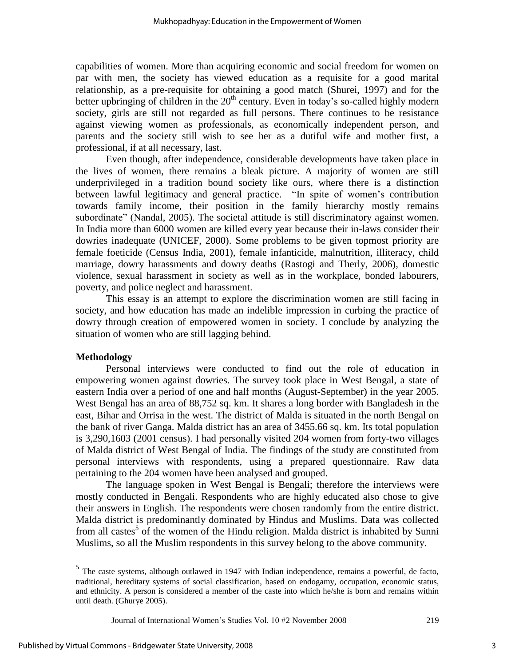capabilities of women. More than acquiring economic and social freedom for women on par with men, the society has viewed education as a requisite for a good marital relationship, as a pre-requisite for obtaining a good match (Shurei, 1997) and for the better upbringing of children in the  $20<sup>th</sup>$  century. Even in today's so-called highly modern society, girls are still not regarded as full persons. There continues to be resistance against viewing women as professionals, as economically independent person, and parents and the society still wish to see her as a dutiful wife and mother first, a professional, if at all necessary, last.

Even though, after independence, considerable developments have taken place in the lives of women, there remains a bleak picture. A majority of women are still underprivileged in a tradition bound society like ours, where there is a distinction between lawful legitimacy and general practice. "In spite of women"s contribution towards family income, their position in the family hierarchy mostly remains subordinate" (Nandal, 2005). The societal attitude is still discriminatory against women. In India more than 6000 women are killed every year because their in-laws consider their dowries inadequate (UNICEF, 2000). Some problems to be given topmost priority are female foeticide (Census India, 2001), female infanticide, malnutrition, illiteracy, child marriage, dowry harassments and dowry deaths (Rastogi and Therly, 2006), domestic violence, sexual harassment in society as well as in the workplace, bonded labourers, poverty, and police neglect and harassment.

This essay is an attempt to explore the discrimination women are still facing in society, and how education has made an indelible impression in curbing the practice of dowry through creation of empowered women in society. I conclude by analyzing the situation of women who are still lagging behind.

#### **Methodology**

 $\overline{a}$ 

Personal interviews were conducted to find out the role of education in empowering women against dowries. The survey took place in West Bengal, a state of eastern India over a period of one and half months (August-September) in the year 2005. West Bengal has an area of 88,752 sq. km. It shares a long border with Bangladesh in the east, Bihar and Orrisa in the west. The district of Malda is situated in the north Bengal on the bank of river Ganga. Malda district has an area of 3455.66 sq. km. Its total population is 3,290,1603 (2001 census). I had personally visited 204 women from forty-two villages of Malda district of West Bengal of India. The findings of the study are constituted from personal interviews with respondents, using a prepared questionnaire. Raw data pertaining to the 204 women have been analysed and grouped.

The language spoken in West Bengal is Bengali; therefore the interviews were mostly conducted in Bengali. Respondents who are highly educated also chose to give their answers in English. The respondents were chosen randomly from the entire district. Malda district is predominantly dominated by Hindus and Muslims. Data was collected from all castes<sup>5</sup> of the women of the Hindu religion. Malda district is inhabited by Sunni Muslims, so all the Muslim respondents in this survey belong to the above community.

<sup>&</sup>lt;sup>5</sup> The caste systems, although outlawed in 1947 with Indian independence, remains a powerful, de facto, traditional, [hereditary](http://en.wikipedia.org/wiki/Hereditary) systems of social classification, based on [endogamy,](http://en.wikipedia.org/wiki/Endogamy) [occupation,](http://en.wiktionary.org/wiki/occupation) economic status, and [ethnicity.](http://en.wikipedia.org/wiki/Ethnicity) A person is considered a member of the caste into which he/she is born and remains within until death. (Ghurye 2005).

Journal of International Women"s Studies Vol. 10 #2 November 2008 219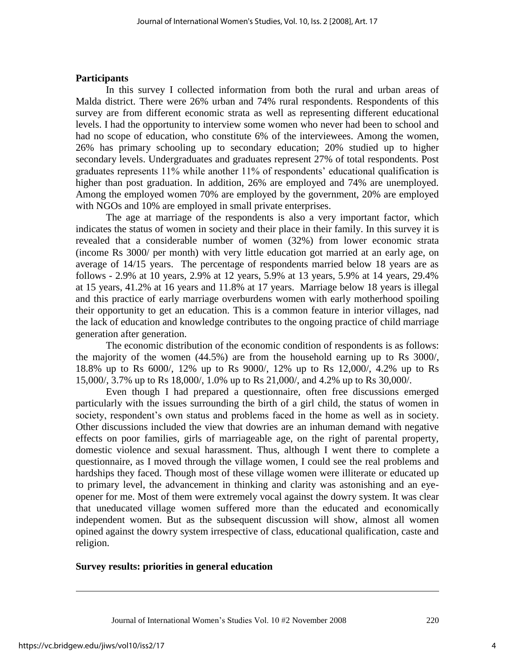## **Participants**

In this survey I collected information from both the rural and urban areas of Malda district. There were 26% urban and 74% rural respondents. Respondents of this survey are from different economic strata as well as representing different educational levels. I had the opportunity to interview some women who never had been to school and had no scope of education, who constitute 6% of the interviewees. Among the women, 26% has primary schooling up to secondary education; 20% studied up to higher secondary levels. Undergraduates and graduates represent 27% of total respondents. Post graduates represents 11% while another 11% of respondents" educational qualification is higher than post graduation. In addition, 26% are employed and 74% are unemployed. Among the employed women 70% are employed by the government, 20% are employed with NGOs and 10% are employed in small private enterprises.

The age at marriage of the respondents is also a very important factor, which indicates the status of women in society and their place in their family. In this survey it is revealed that a considerable number of women (32%) from lower economic strata (income Rs 3000/ per month) with very little education got married at an early age, on average of 14/15 years. The percentage of respondents married below 18 years are as follows - 2.9% at 10 years, 2.9% at 12 years, 5.9% at 13 years, 5.9% at 14 years, 29.4% at 15 years, 41.2% at 16 years and 11.8% at 17 years. Marriage below 18 years is illegal and this practice of early marriage overburdens women with early motherhood spoiling their opportunity to get an education. This is a common feature in interior villages, nad the lack of education and knowledge contributes to the ongoing practice of child marriage generation after generation.

The economic distribution of the economic condition of respondents is as follows: the majority of the women (44.5%) are from the household earning up to Rs 3000/, 18.8% up to Rs 6000/, 12% up to Rs 9000/, 12% up to Rs 12,000/, 4.2% up to Rs 15,000/, 3.7% up to Rs 18,000/, 1.0% up to Rs 21,000/, and 4.2% up to Rs 30,000/.

Even though I had prepared a questionnaire, often free discussions emerged particularly with the issues surrounding the birth of a girl child, the status of women in society, respondent's own status and problems faced in the home as well as in society. Other discussions included the view that dowries are an inhuman demand with negative effects on poor families, girls of marriageable age, on the right of parental property, domestic violence and sexual harassment. Thus, although I went there to complete a questionnaire, as I moved through the village women, I could see the real problems and hardships they faced. Though most of these village women were illiterate or educated up to primary level, the advancement in thinking and clarity was astonishing and an eyeopener for me. Most of them were extremely vocal against the dowry system. It was clear that uneducated village women suffered more than the educated and economically independent women. But as the subsequent discussion will show, almost all women opined against the dowry system irrespective of class, educational qualification, caste and religion.

#### **Survey results: priorities in general education**

 $\overline{a}$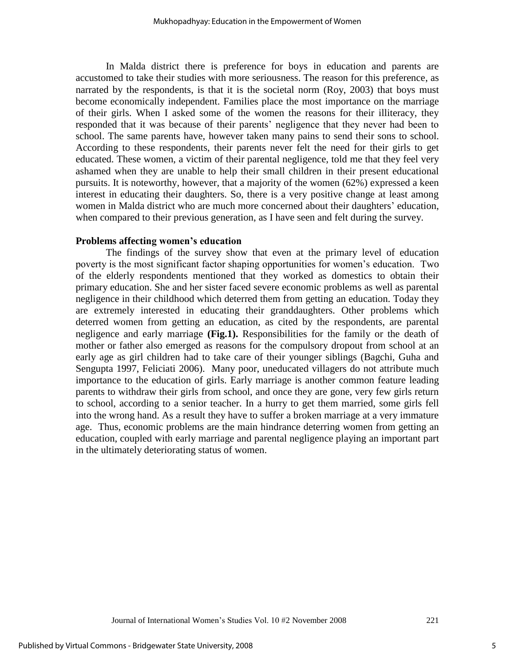In Malda district there is preference for boys in education and parents are accustomed to take their studies with more seriousness. The reason for this preference, as narrated by the respondents, is that it is the societal norm (Roy, 2003) that boys must become economically independent. Families place the most importance on the marriage of their girls. When I asked some of the women the reasons for their illiteracy, they responded that it was because of their parents' negligence that they never had been to school. The same parents have, however taken many pains to send their sons to school. According to these respondents, their parents never felt the need for their girls to get educated. These women, a victim of their parental negligence, told me that they feel very ashamed when they are unable to help their small children in their present educational pursuits. It is noteworthy, however, that a majority of the women (62%) expressed a keen interest in educating their daughters. So, there is a very positive change at least among women in Malda district who are much more concerned about their daughters' education, when compared to their previous generation, as I have seen and felt during the survey.

#### **Problems affecting women's education**

The findings of the survey show that even at the primary level of education poverty is the most significant factor shaping opportunities for women"s education. Two of the elderly respondents mentioned that they worked as domestics to obtain their primary education. She and her sister faced severe economic problems as well as parental negligence in their childhood which deterred them from getting an education. Today they are extremely interested in educating their granddaughters. Other problems which deterred women from getting an education, as cited by the respondents, are parental negligence and early marriage **(Fig.1).** Responsibilities for the family or the death of mother or father also emerged as reasons for the compulsory dropout from school at an early age as girl children had to take care of their younger siblings (Bagchi, Guha and Sengupta 1997, Feliciati 2006). Many poor, uneducated villagers do not attribute much importance to the education of girls. Early marriage is another common feature leading parents to withdraw their girls from school, and once they are gone, very few girls return to school, according to a senior teacher. In a hurry to get them married, some girls fell into the wrong hand. As a result they have to suffer a broken marriage at a very immature age. Thus, economic problems are the main hindrance deterring women from getting an education, coupled with early marriage and parental negligence playing an important part in the ultimately deteriorating status of women.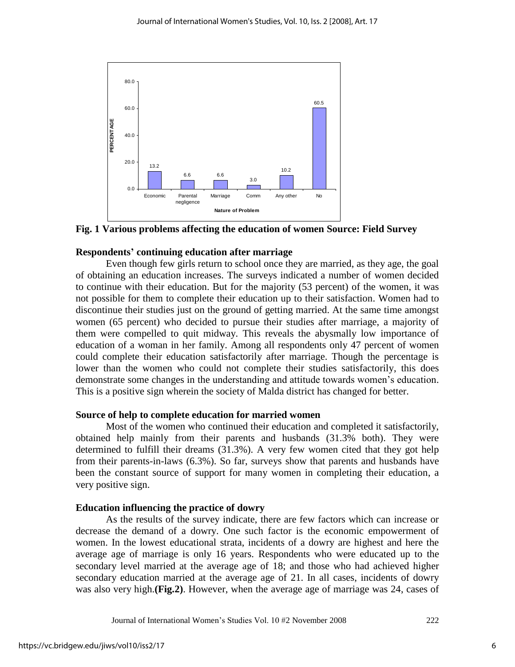

**Fig. 1 Various problems affecting the education of women Source: Field Survey** 

## **Respondents' continuing education after marriage**

Even though few girls return to school once they are married, as they age, the goal of obtaining an education increases. The surveys indicated a number of women decided to continue with their education. But for the majority (53 percent) of the women, it was not possible for them to complete their education up to their satisfaction. Women had to discontinue their studies just on the ground of getting married. At the same time amongst women (65 percent) who decided to pursue their studies after marriage, a majority of them were compelled to quit midway. This reveals the abysmally low importance of education of a woman in her family. Among all respondents only 47 percent of women could complete their education satisfactorily after marriage. Though the percentage is lower than the women who could not complete their studies satisfactorily, this does demonstrate some changes in the understanding and attitude towards women"s education. This is a positive sign wherein the society of Malda district has changed for better.

#### **Source of help to complete education for married women**

Most of the women who continued their education and completed it satisfactorily, obtained help mainly from their parents and husbands (31.3% both). They were determined to fulfill their dreams (31.3%). A very few women cited that they got help from their parents-in-laws (6.3%). So far, surveys show that parents and husbands have been the constant source of support for many women in completing their education, a very positive sign.

## **Education influencing the practice of dowry**

As the results of the survey indicate, there are few factors which can increase or decrease the demand of a dowry. One such factor is the economic empowerment of women. In the lowest educational strata, incidents of a dowry are highest and here the average age of marriage is only 16 years. Respondents who were educated up to the secondary level married at the average age of 18; and those who had achieved higher secondary education married at the average age of 21. In all cases, incidents of dowry was also very high.**(Fig.2)**. However, when the average age of marriage was 24, cases of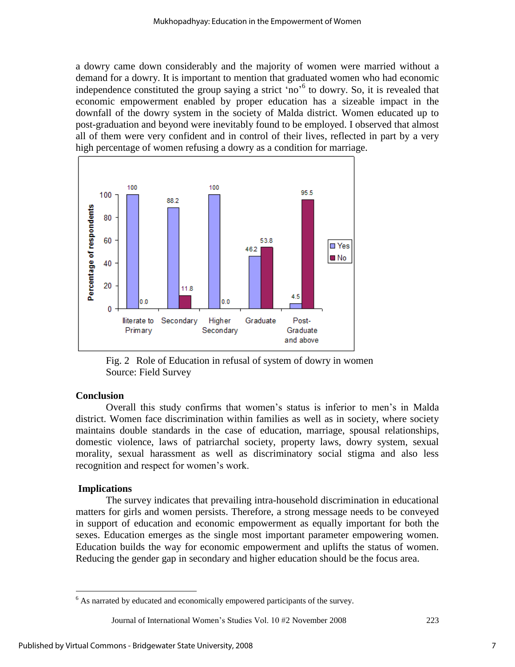a dowry came down considerably and the majority of women were married without a demand for a dowry. It is important to mention that graduated women who had economic independence constituted the group saying a strict 'no'<sup>6</sup> to dowry. So, it is revealed that economic empowerment enabled by proper education has a sizeable impact in the downfall of the dowry system in the society of Malda district. Women educated up to post-graduation and beyond were inevitably found to be employed. I observed that almost all of them were very confident and in control of their lives, reflected in part by a very high percentage of women refusing a dowry as a condition for marriage.



Fig. 2 Role of Education in refusal of system of dowry in women Source: Field Survey

#### **Conclusion**

Overall this study confirms that women"s status is inferior to men"s in Malda district. Women face discrimination within families as well as in society, where society maintains double standards in the case of education, marriage, spousal relationships, domestic violence, laws of patriarchal society, property laws, dowry system, sexual morality, sexual harassment as well as discriminatory social stigma and also less recognition and respect for women"s work.

#### **Implications**

 $\overline{a}$ 

The survey indicates that prevailing intra-household discrimination in educational matters for girls and women persists. Therefore, a strong message needs to be conveyed in support of education and economic empowerment as equally important for both the sexes. Education emerges as the single most important parameter empowering women. Education builds the way for economic empowerment and uplifts the status of women. Reducing the gender gap in secondary and higher education should be the focus area.

 $6$  As narrated by educated and economically empowered participants of the survey.

Journal of International Women"s Studies Vol. 10 #2 November 2008 223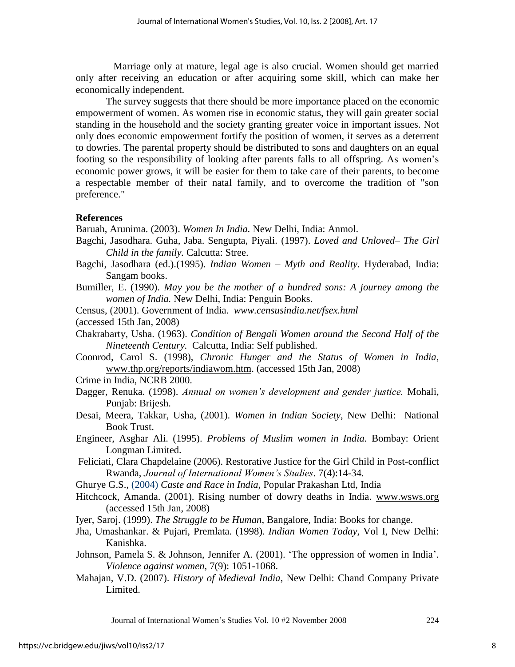Marriage only at mature, legal age is also crucial. Women should get married only after receiving an education or after acquiring some skill, which can make her economically independent.

The survey suggests that there should be more importance placed on the economic empowerment of women. As women rise in economic status, they will gain greater social standing in the household and the society granting greater voice in important issues. Not only does economic empowerment fortify the position of women, it serves as a deterrent to dowries. The parental property should be distributed to sons and daughters on an equal footing so the responsibility of looking after parents falls to all offspring. As women"s economic power grows, it will be easier for them to take care of their parents, to become a respectable member of their natal family, and to overcome the tradition of "son preference."

## **References**

Baruah, Arunima. (2003). *Women In India.* New Delhi, India: Anmol.

- Bagchi, Jasodhara. Guha, Jaba. Sengupta, Piyali. (1997). *Loved and Unloved– The Girl Child in the family.* Calcutta: Stree.
- Bagchi, Jasodhara (ed.).(1995). *Indian Women – Myth and Reality.* Hyderabad, India: Sangam books.
- Bumiller, E. (1990). *May you be the mother of a hundred sons: A journey among the women of India.* New Delhi, India: Penguin Books.
- Census, (2001). Government of India. *[www.censusindia.net/fsex.html](http://www.censusindia.net/fsex.html)*
- (accessed 15th Jan, 2008)
- Chakrabarty, Usha. (1963). *Condition of Bengali Women around the Second Half of the Nineteenth Century.* Calcutta, India: Self published.
- Coonrod, Carol S. (1998), *Chronic Hunger and the Status of Women in India*, [www.thp.org/reports/indiawom.htm.](http://www.thp.org/reports/indiawom.htm) (accessed 15th Jan, 2008)
- Crime in India, NCRB 2000.
- Dagger, Renuka. (1998). *Annual on women's development and gender justice.* Mohali, Punjab: Brijesh.
- Desai, Meera, Takkar, Usha, (2001). *Women in Indian Society*, New Delhi: National Book Trust.
- Engineer, Asghar Ali. (1995). *Problems of Muslim women in India.* Bombay: Orient Longman Limited.
- Feliciati, Clara Chapdelaine (2006). Restorative Justice for the Girl Child in Post-conflict Rwanda, *Journal of International Women's Studies*. 7(4):14-34.
- Ghurye G.S., (2004) *Caste and Race in India,* Popular Prakashan Ltd, India
- Hitchcock, Amanda. (2001). Rising number of dowry deaths in India. [www.wsws.org](http://www.wsws.org/) (accessed 15th Jan, 2008)
- Iyer, Saroj. (1999). *The Struggle to be Human*, Bangalore, India: Books for change.
- Jha, Umashankar. & Pujari, Premlata*.* (1998). *Indian Women Today,* Vol I, New Delhi: Kanishka.
- Johnson, Pamela S. & Johnson, Jennifer A. (2001). "The oppression of women in India". *Violence against women,* 7(9): 1051-1068.
- Mahajan, V.D. (2007). *History of Medieval India*, New Delhi: Chand Company Private Limited.

Journal of International Women"s Studies Vol. 10 #2 November 2008 224